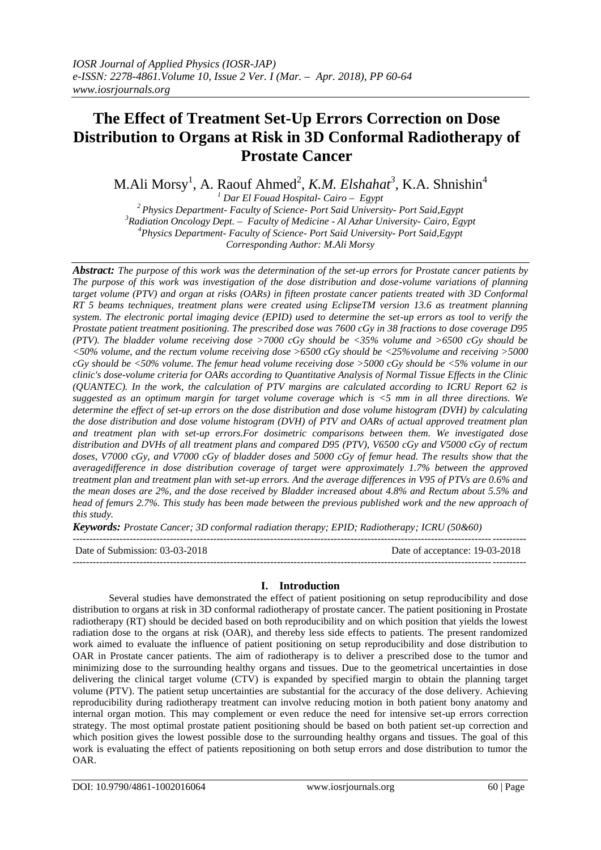# **The Effect of Treatment Set-Up Errors Correction on Dose Distribution to Organs at Risk in 3D Conformal Radiotherapy of Prostate Cancer**

M.Ali Morsy<sup>1</sup>, A. Raouf Ahmed<sup>2</sup>, *K.M. Elshahat<sup>3</sup>,* K.A. Shnishin<sup>4</sup>

 *Dar El Fouad Hospital- Cairo – Egypt Physics Department- Faculty of Science- Port Said University- Port Said,Egypt Radiation Oncology Dept. – Faculty of Medicine - Al Azhar University- Cairo, Egypt Physics Department- Faculty of Science- Port Said University- Port Said,Egypt Corresponding Author: M.Ali Morsy*

*Abstract: The purpose of this work was the determination of the set-up errors for Prostate cancer patients by The purpose of this work was investigation of the dose distribution and dose-volume variations of planning target volume (PTV) and organ at risks (OARs) in fifteen prostate cancer patients treated with 3D Conformal RT 5 beams techniques, treatment plans were created using EclipseTM version 13.6 as treatment planning system. The electronic portal imaging device (EPID) used to determine the set-up errors as tool to verify the Prostate patient treatment positioning. The prescribed dose was 7600 cGy in 38 fractions to dose coverage D95 (PTV). The bladder volume receiving dose >7000 cGy should be <35% volume and >6500 cGy should be <50% volume, and the rectum volume receiving dose >6500 cGy should be <25%volume and receiving >5000 cGy should be <50% volume. The femur head volume receiving dose >5000 cGy should be <5% volume in our clinic's dose-volume criteria for OARs according to Quantitative Analysis of Normal Tissue Effects in the Clinic (QUANTEC). In the work, the calculation of PTV margins are calculated according to ICRU Report 62 is suggested as an optimum margin for target volume coverage which is <5 mm in all three directions. We determine the effect of set-up errors on the dose distribution and dose volume histogram (DVH) by calculating the dose distribution and dose volume histogram (DVH) of PTV and OARs of actual approved treatment plan and treatment plan with set-up errors.For dosimetric comparisons between them. We investigated dose distribution and DVHs of all treatment plans and compared D95 (PTV), V6500 cGy and V5000 cGy of rectum doses, V7000 cGy, and V7000 cGy of bladder doses and 5000 cGy of femur head. The results show that the averagedifference in dose distribution coverage of target were approximately 1.7% between the approved treatment plan and treatment plan with set-up errors. And the average differences in V95 of PTVs are 0.6% and the mean doses are 2%, and the dose received by Bladder increased about 4.8% and Rectum about 5.5% and head of femurs 2.7%. This study has been made between the previous published work and the new approach of this study.* 

*Keywords: Prostate Cancer; 3D conformal radiation therapy; EPID; Radiotherapy; ICRU (50&60)*

--------------------------------------------------------------------------------------------------------------------------------------- Date of Submission: 03-03-2018 Date of acceptance: 19-03-2018

## **I. Introduction**

---------------------------------------------------------------------------------------------------------------------------------------

Several studies have demonstrated the effect of patient positioning on setup reproducibility and dose distribution to organs at risk in 3D conformal radiotherapy of prostate cancer. The patient positioning in Prostate radiotherapy (RT) should be decided based on both reproducibility and on which position that yields the lowest radiation dose to the organs at risk (OAR), and thereby less side effects to patients. The present randomized work aimed to evaluate the influence of patient positioning on setup reproducibility and dose distribution to OAR in Prostate cancer patients. The aim of radiotherapy is to deliver a prescribed dose to the tumor and minimizing dose to the surrounding healthy organs and tissues. Due to the geometrical uncertainties in dose delivering the clinical target volume (CTV) is expanded by specified margin to obtain the planning target volume (PTV). The patient setup uncertainties are substantial for the accuracy of the dose delivery. Achieving reproducibility during radiotherapy treatment can involve reducing motion in both patient bony anatomy and internal organ motion. This may complement or even reduce the need for intensive set-up errors correction strategy. The most optimal prostate patient positioning should be based on both patient set-up correction and which position gives the lowest possible dose to the surrounding healthy organs and tissues. The goal of this work is evaluating the effect of patients repositioning on both setup errors and dose distribution to tumor the OAR.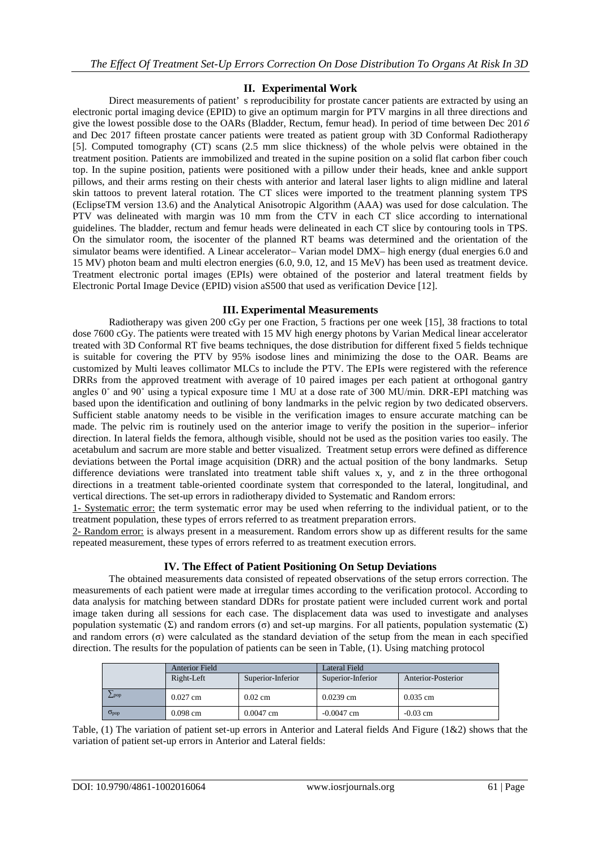### **II. Experimental Work**

Direct measurements of patient' s reproducibility for prostate cancer patients are extracted by using an electronic portal imaging device (EPID) to give an optimum margin for PTV margins in all three directions and give the lowest possible dose to the OARs (Bladder, Rectum, femur head). In period of time between Dec 2016 and Dec 2017 fifteen prostate cancer patients were treated as patient group with 3D Conformal Radiotherapy [5]. Computed tomography (CT) scans (2.5 mm slice thickness) of the whole pelvis were obtained in the treatment position. Patients are immobilized and treated in the supine position on a solid flat carbon fiber couch top. In the supine position, patients were positioned with a pillow under their heads, knee and ankle support pillows, and their arms resting on their chests with anterior and lateral laser lights to align midline and lateral skin tattoos to prevent lateral rotation. The CT slices were imported to the treatment planning system TPS (EclipseTM version 13.6) and the Analytical Anisotropic Algorithm (AAA) was used for dose calculation. The PTV was delineated with margin was 10 mm from the CTV in each CT slice according to international guidelines. The bladder, rectum and femur heads were delineated in each CT slice by contouring tools in TPS. On the simulator room, the isocenter of the planned RT beams was determined and the orientation of the simulator beams were identified. A Linear accelerator– Varian model DMX– high energy (dual energies 6.0 and 15 MV) photon beam and multi electron energies (6.0, 9.0, 12, and 15 MeV) has been used as treatment device. Treatment electronic portal images (EPIs) were obtained of the posterior and lateral treatment fields by Electronic Portal Image Device (EPID) vision aS500 that used as verification Device [12].

#### **III. Experimental Measurements**

Radiotherapy was given 200 cGy per one Fraction, 5 fractions per one week [15], 38 fractions to total dose 7600 cGy. The patients were treated with 15 MV high energy photons by Varian Medical linear accelerator treated with 3D Conformal RT five beams techniques, the dose distribution for different fixed 5 fields technique is suitable for covering the PTV by 95% isodose lines and minimizing the dose to the OAR. Beams are customized by Multi leaves collimator MLCs to include the PTV. The EPIs were registered with the reference DRRs from the approved treatment with average of 10 paired images per each patient at orthogonal gantry angles 0˚ and 90˚ using a typical exposure time 1 MU at a dose rate of 300 MU/min. DRR-EPI matching was based upon the identification and outlining of bony landmarks in the pelvic region by two dedicated observers. Sufficient stable anatomy needs to be visible in the verification images to ensure accurate matching can be made. The pelvic rim is routinely used on the anterior image to verify the position in the superior– inferior direction. In lateral fields the femora, although visible, should not be used as the position varies too easily. The acetabulum and sacrum are more stable and better visualized. Treatment setup errors were defined as difference deviations between the Portal image acquisition (DRR) and the actual position of the bony landmarks. Setup difference deviations were translated into treatment table shift values x, y, and z in the three orthogonal directions in a treatment table-oriented coordinate system that corresponded to the lateral, longitudinal, and vertical directions. The set-up errors in radiotherapy divided to Systematic and Random errors:

1- Systematic error: the term systematic error may be used when referring to the individual patient, or to the treatment population, these types of errors referred to as treatment preparation errors.

2- Random error: is always present in a measurement. Random errors show up as different results for the same repeated measurement, these types of errors referred to as treatment execution errors.

#### **IV. The Effect of Patient Positioning On Setup Deviations**

The obtained measurements data consisted of repeated observations of the setup errors correction. The measurements of each patient were made at irregular times according to the verification protocol. According to data analysis for matching between standard DDRs for prostate patient were included current work and portal image taken during all sessions for each case. The displacement data was used to investigate and analyses population systematic (Σ) and random errors (σ) and set-up margins. For all patients, population systematic (Σ) and random errors (σ) were calculated as the standard deviation of the setup from the mean in each specified direction. The results for the population of patients can be seen in Table, (1). Using matching protocol

|                | <b>Anterior Field</b> |                   | <b>Lateral Field</b> |                    |
|----------------|-----------------------|-------------------|----------------------|--------------------|
|                | Right-Left            | Superior-Inferior | Superior-Inferior    | Anterior-Posterior |
| $\angle$ pop   | $0.027$ cm            | $0.02$ cm         | $0.0239$ cm          | $0.035$ cm         |
| $\sigma_{pop}$ | $0.098$ cm            | $0.0047$ cm       | $-0.0047$ cm         | $-0.03$ cm         |

Table, (1) The variation of patient set-up errors in Anterior and Lateral fields And Figure (1&2) shows that the variation of patient set-up errors in Anterior and Lateral fields: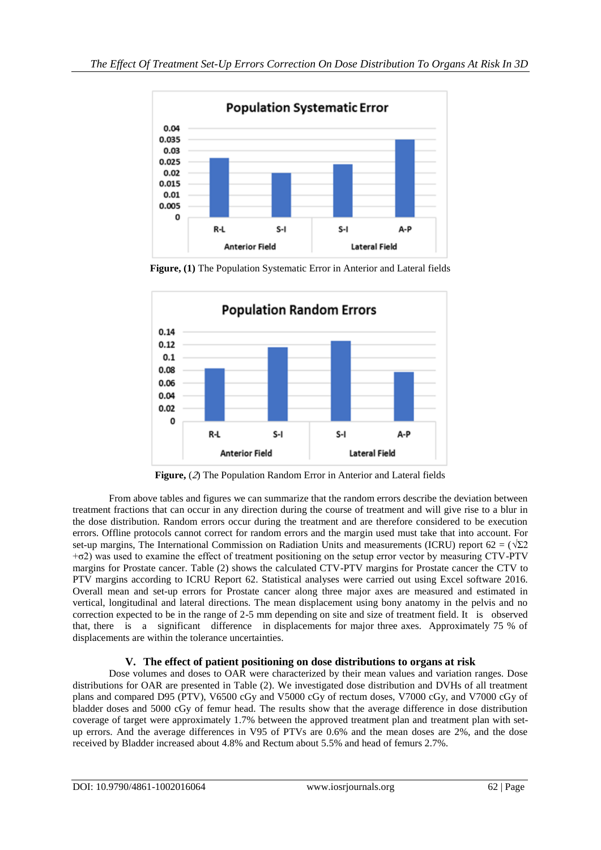

**Figure, (1)** The Population Systematic Error in Anterior and Lateral fields



**Figure,** (2) The Population Random Error in Anterior and Lateral fields

From above tables and figures we can summarize that the random errors describe the deviation between treatment fractions that can occur in any direction during the course of treatment and will give rise to a blur in the dose distribution. Random errors occur during the treatment and are therefore considered to be execution errors. Offline protocols cannot correct for random errors and the margin used must take that into account. For set-up margins, The International Commission on Radiation Units and measurements (ICRU) report 62 =  $(\sqrt{\Sigma 2})$ +σ2) was used to examine the effect of treatment positioning on the setup error vector by measuring CTV-PTV margins for Prostate cancer. Table (2) shows the calculated CTV-PTV margins for Prostate cancer the CTV to PTV margins according to ICRU Report 62. Statistical analyses were carried out using Excel software 2016. Overall mean and set-up errors for Prostate cancer along three major axes are measured and estimated in vertical, longitudinal and lateral directions. The mean displacement using bony anatomy in the pelvis and no correction expected to be in the range of 2-5 mm depending on site and size of treatment field. It is observed that, there is a significant difference in displacements for major three axes. Approximately 75 % of displacements are within the tolerance uncertainties.

## **V. The effect of patient positioning on dose distributions to organs at risk**

Dose volumes and doses to OAR were characterized by their mean values and variation ranges. Dose distributions for OAR are presented in Table (2). We investigated dose distribution and DVHs of all treatment plans and compared D95 (PTV), V6500 cGy and V5000 cGy of rectum doses, V7000 cGy, and V7000 cGy of bladder doses and 5000 cGy of femur head. The results show that the average difference in dose distribution coverage of target were approximately 1.7% between the approved treatment plan and treatment plan with setup errors. And the average differences in V95 of PTVs are 0.6% and the mean doses are 2%, and the dose received by Bladder increased about 4.8% and Rectum about 5.5% and head of femurs 2.7%.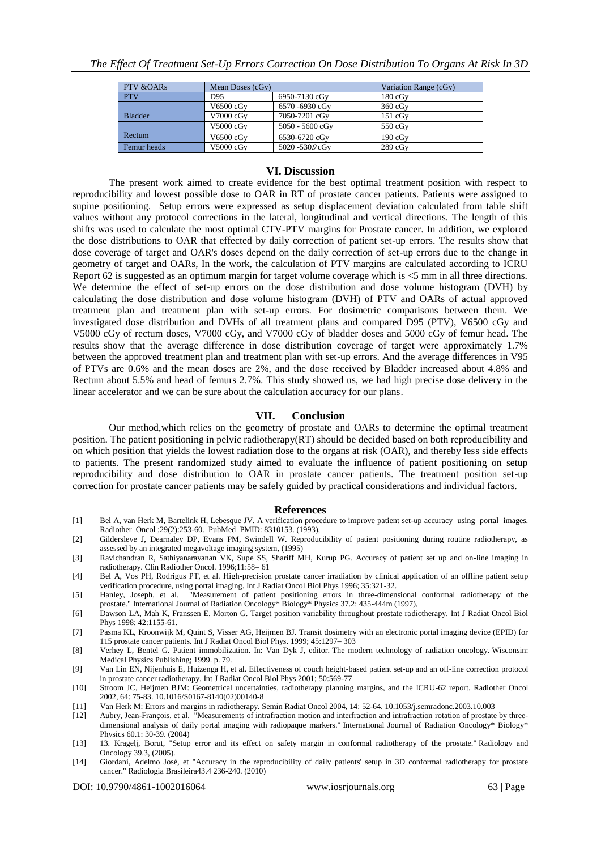| PTV & OARs     | Mean Doses (cGy) |                 | Variation Range (cGy) |
|----------------|------------------|-----------------|-----------------------|
| <b>PTV</b>     | D95              | 6950-7130 cGy   | $180 \text{ cGv}$     |
|                | $V6500$ $cGv$    | 6570-6930 cGy   | $360 \text{ cGy}$     |
| <b>Bladder</b> | V7000 cGy        | 7050-7201 cGy   | $151 \text{ cGy}$     |
|                | V5000 cGy        | 5050 - 5600 cGv | $550 \text{ cGy}$     |
| Rectum         | $V6500$ $cGv$    | 6530-6720 cGy   | $190 \text{ cGy}$     |
| Femur heads    | V5000 cGy        | 5020 -5309 cGy  | $289$ cGy             |

## **VI. Discussion**

The present work aimed to create evidence for the best optimal treatment position with respect to reproducibility and lowest possible dose to OAR in RT of prostate cancer patients. Patients were assigned to supine positioning. Setup errors were expressed as setup displacement deviation calculated from table shift values without any protocol corrections in the lateral, longitudinal and vertical directions. The length of this shifts was used to calculate the most optimal CTV-PTV margins for Prostate cancer. In addition, we explored the dose distributions to OAR that effected by daily correction of patient set-up errors. The results show that dose coverage of target and OAR's doses depend on the daily correction of set-up errors due to the change in geometry of target and OARs, In the work, the calculation of PTV margins are calculated according to ICRU Report 62 is suggested as an optimum margin for target volume coverage which is <5 mm in all three directions. We determine the effect of set-up errors on the dose distribution and dose volume histogram (DVH) by calculating the dose distribution and dose volume histogram (DVH) of PTV and OARs of actual approved treatment plan and treatment plan with set-up errors. For dosimetric comparisons between them. We investigated dose distribution and DVHs of all treatment plans and compared D95 (PTV), V6500 cGy and V5000 cGy of rectum doses, V7000 cGy, and V7000 cGy of bladder doses and 5000 cGy of femur head. The results show that the average difference in dose distribution coverage of target were approximately 1.7% between the approved treatment plan and treatment plan with set-up errors. And the average differences in V95 of PTVs are 0.6% and the mean doses are 2%, and the dose received by Bladder increased about 4.8% and Rectum about 5.5% and head of femurs 2.7%. This study showed us, we had high precise dose delivery in the linear accelerator and we can be sure about the calculation accuracy for our plans.

#### **VII. Conclusion**

Our method,which relies on the geometry of prostate and OARs to determine the optimal treatment position. The patient positioning in pelvic radiotherapy(RT) should be decided based on both reproducibility and on which position that yields the lowest radiation dose to the organs at risk (OAR), and thereby less side effects to patients. The present randomized study aimed to evaluate the influence of patient positioning on setup reproducibility and dose distribution to OAR in prostate cancer patients. The treatment position set-up correction for prostate cancer patients may be safely guided by practical considerations and individual factors.

#### **References**

- [1] Bel A, van Herk M, Bartelink H, Lebesque JV. A verification procedure to improve patient set-up accuracy using portal images. Radiother Oncol ; 29(2): 253-60. PubMed PMID: 8310153. (1993),
- [2] Gildersleve J, Dearnaley DP, Evans PM, Swindell W. Reproducibility of patient positioning during routine radiotherapy, as assessed by an integrated megavoltage imaging system, (1995)
- [3] Ravichandran R, Sathiyanarayanan VK, Supe SS, Shariff MH, Kurup PG. Accuracy of patient set up and on-line imaging in radiotherapy. Clin Radiother Oncol. 1996;11:58– 61
- [4] Bel A, Vos PH, Rodrigus PT, et al. High-precision prostate cancer irradiation by clinical application of an offline patient setup verification procedure, using portal imaging. Int J Radiat Oncol Biol Phys 1996; 35:321-32.
- [5] Hanley, Joseph, et al. "Measurement of patient positioning errors in three-dimensional conformal radiotherapy of the prostate." International Journal of Radiation Oncology\* Biology\* Physics 37.2: 435-444m (1997),
- [6] Dawson LA, Mah K, Franssen E, Morton G. Target position variability throughout prostate radiotherapy. Int J Radiat Oncol Biol Phys 1998; 42:1155-61.
- [7] Pasma KL, Kroonwijk M, Quint S, Visser AG, Heijmen BJ. Transit dosimetry with an electronic portal imaging device (EPID) for 115 prostate cancer patients. Int J Radiat Oncol Biol Phys. 1999; 45:1297– 303
- [8] Verhey L, Bentel G. Patient immobilization. In: Van Dyk J, editor. The modern technology of radiation oncology. Wisconsin: Medical Physics Publishing; 1999. p. 79.
- [9] Van Lin EN, Nijenhuis E, Huizenga H, et al. Effectiveness of couch height-based patient set-up and an off-line correction protocol in prostate cancer radiotherapy. Int J Radiat Oncol Biol Phys 2001; 50:569-77
- [10] Stroom JC, Heijmen BJM: Geometrical uncertainties, radiotherapy planning margins, and the ICRU-62 report. Radiother Oncol 2002, 64: 75-83. 10.1016/S0167-8140(02)00140-8
- [11] Van Herk M: Errors and margins in radiotherapy. Semin Radiat Oncol 2004, 14: 52-64. 10.1053/j.semradonc.2003.10.003
- [12] Aubry, Jean-François, et al. "Measurements of intrafraction motion and interfraction and intrafraction rotation of prostate by threedimensional analysis of daily portal imaging with radiopaque markers." International Journal of Radiation Oncology\* Biology\* Physics 60.1: 30-39. (2004)
- [13] 13. Kragelj, Borut, "Setup error and its effect on safety margin in conformal radiotherapy of the prostate." Radiology and Oncology 39.3, (2005).
- [14] Giordani, Adelmo José, et "Accuracy in the reproducibility of daily patients' setup in 3D conformal radiotherapy for prostate cancer." Radiologia Brasileira43.4 236-240. (2010)